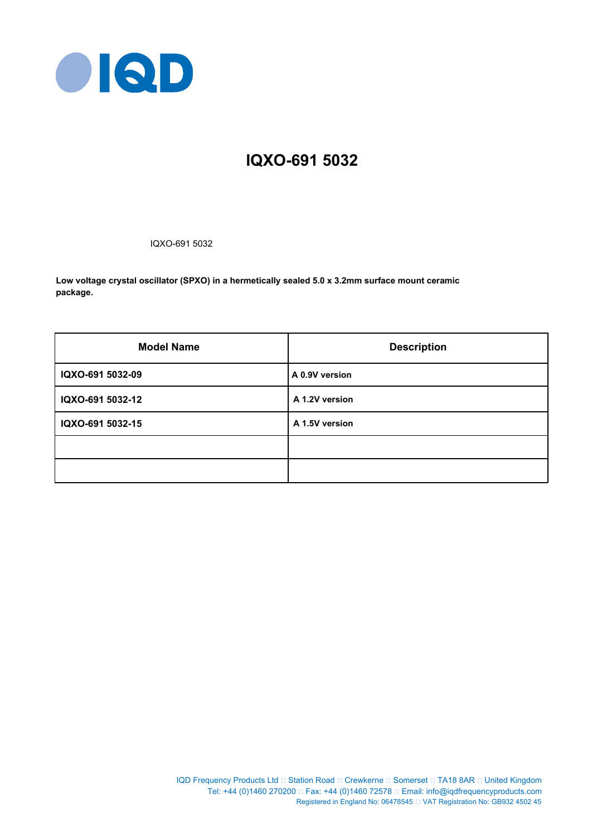

# **IQXO-691 5032**

IQXO-691 5032

**Low voltage crystal oscillator (SPXO) in a hermetically sealed 5.0 x 3.2mm surface mount ceramic package.**

| <b>Model Name</b> | <b>Description</b> |  |  |
|-------------------|--------------------|--|--|
| IQXO-691 5032-09  | A 0.9V version     |  |  |
| IQXO-691 5032-12  | A 1.2V version     |  |  |
| IQXO-691 5032-15  | A 1.5V version     |  |  |
|                   |                    |  |  |
|                   |                    |  |  |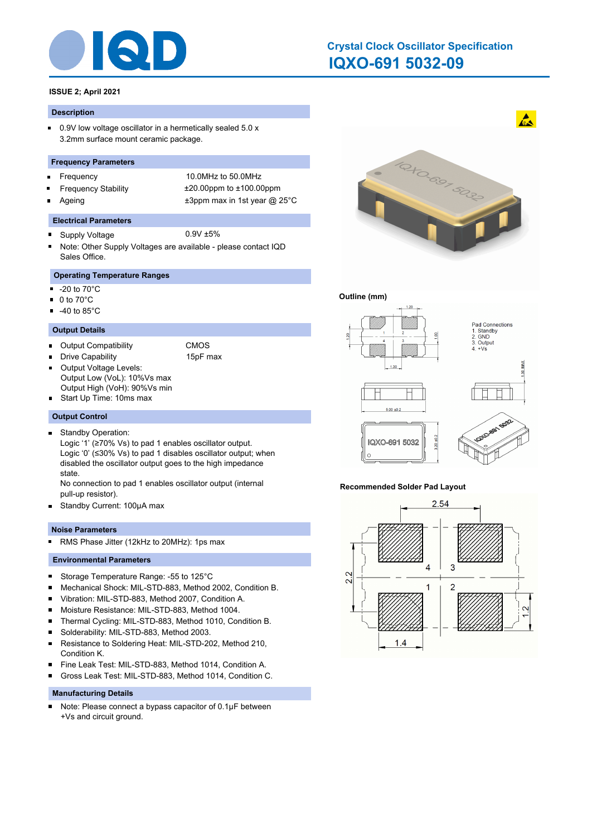

## **IQXO-691 5032-09 Crystal Clock Oscillator Specification**

### **ISSUE 2; April 2021**

#### **Description**

 $\blacksquare$ 0.9V low voltage oscillator in a hermetically sealed 5.0 x 3.2mm surface mount ceramic package.

#### **Frequency Parameters**

- $\blacksquare$
- 
- 

Frequency 10.0MHz to 50.0MHz Frequency Stability ±20.00ppm to ±100.00ppm Ageing  $\qquad \qquad \pm 3$ ppm max in 1st year @ 25°C

#### **Electrical Parameters**

- Supply Voltage 0.9V ±5%  $\blacksquare$
- Note: Other Supply Voltages are available please contact IQD Sales Office.

### **Operating Temperature Ranges**

- $\blacksquare$ -20 to 70°C
- $\blacksquare$  0 to 70 $^{\circ}$ C
- $-40$  to 85 $^{\circ}$ C

### **Output Details**

- Output Compatibility CMOS
	- Drive Capability 15pF max
- Output Voltage Levels: П Output Low (VoL): 10%Vs max Output High (VoH): 90%Vs min
- Start Up Time: 10ms max
- 

### **Output Control**

Standby Operation:  $\blacksquare$ 

Logic '1' (≥70% Vs) to pad 1 enables oscillator output. Logic '0' (≤30% Vs) to pad 1 disables oscillator output; when disabled the oscillator output goes to the high impedance state.

No connection to pad 1 enables oscillator output (internal pull-up resistor).

 $\blacksquare$ Standby Current: 100μA max

### **Noise Parameters**

RMS Phase Jitter (12kHz to 20MHz): 1ps max  $\blacksquare$ 

### **Environmental Parameters**

- $\blacksquare$ Storage Temperature Range: -55 to 125°C
- Mechanical Shock: MIL-STD-883, Method 2002, Condition B. ×
- Vibration: MIL-STD-883, Method 2007, Condition A. ×
- $\blacksquare$ Moisture Resistance: MIL-STD-883, Method 1004.
- $\blacksquare$ Thermal Cycling: MIL-STD-883, Method 1010, Condition B.
- $\blacksquare$ Solderability: MIL-STD-883, Method 2003.
- $\blacksquare$ Resistance to Soldering Heat: MIL-STD-202, Method 210, Condition K.
- Fine Leak Test: MIL-STD-883, Method 1014, Condition A.  $\blacksquare$
- Gross Leak Test: MIL-STD-883, Method 1014, Condition C. n

### **Manufacturing Details**

Note: Please connect a bypass capacitor of 0.1μF between  $\blacksquare$ +Vs and circuit ground.



### **Outline (mm)**



#### **Recommended Solder Pad Layout**



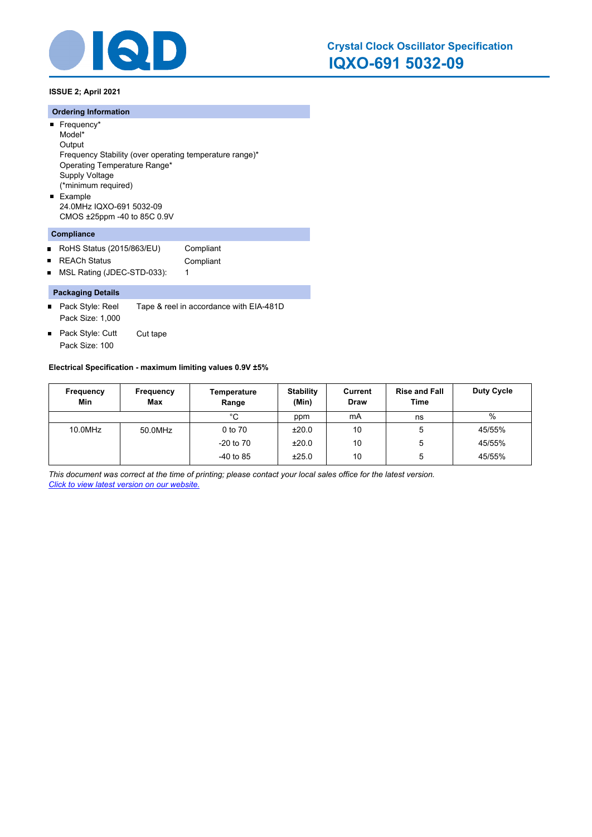

**ISSUE 2; April 2021**

### **Ordering Information**

- Frequency\* Model\* **Output** Frequency Stability (over operating temperature range)\* Operating Temperature Range\* Supply Voltage (\*minimum required) **Example**
- 24.0MHz IQXO-691 5032-09 CMOS ±25ppm -40 to 85C 0.9V

### **Compliance**

- $\blacksquare$ RoHS Status (2015/863/EU) Compliant
- REACh Status **Compliant**  $\blacksquare$
- MSL Rating (JDEC-STD-033): 1  $\blacksquare$

### **Packaging Details**

- Pack Style: Reel Tape & reel in accordance with EIA-481D Pack Size: 1,000
- Pack Style: Cutt Cut tape  $\blacksquare$ Pack Size: 100

### **Electrical Specification - maximum limiting values 0.9V ±5%**

| Frequency<br>Min | Frequency<br><b>Max</b> | Temperature<br>Range | <b>Stability</b><br>(Min) | Current<br><b>Draw</b> | <b>Rise and Fall</b><br>Time | <b>Duty Cycle</b> |
|------------------|-------------------------|----------------------|---------------------------|------------------------|------------------------------|-------------------|
|                  |                         | °C                   | ppm                       | mA                     | ns                           | $\%$              |
| 10.0MHz          | 50.0MHz                 | 0 to 70              | ±20.0                     | 10                     | 5                            | 45/55%            |
|                  |                         | $-20$ to $70$        | ±20.0                     | 10                     | 5                            | 45/55%            |
|                  |                         | $-40$ to 85          | ±25.0                     | 10                     | 5                            | 45/55%            |

*This document was correct at the time of printing; please contact your local sales office for the latest version. Click to view latest version on our website.*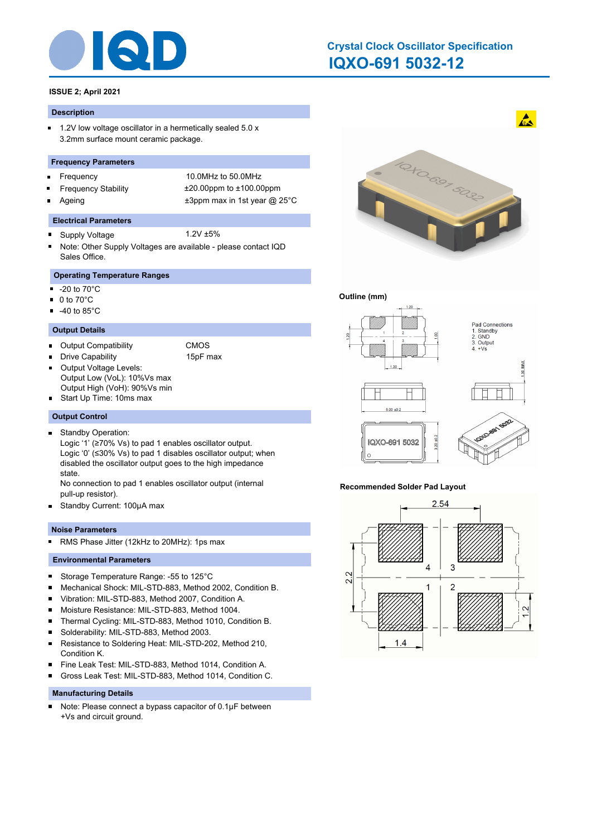

## **IQXO-691 5032-12 Crystal Clock Oscillator Specification**

### **ISSUE 2; April 2021**

#### **Description**

 $\blacksquare$ 1.2V low voltage oscillator in a hermetically sealed 5.0 x 3.2mm surface mount ceramic package.

#### **Frequency Parameters**

- $\blacksquare$
- 
- 

Frequency 10.0MHz to 50.0MHz Frequency Stability ±20.00ppm to ±100.00ppm Ageing  $\qquad \qquad \pm 3$ ppm max in 1st year @ 25°C

#### **Electrical Parameters**

- Supply Voltage 1.2V ±5%  $\blacksquare$
- Note: Other Supply Voltages are available please contact IQD Sales Office.

### **Operating Temperature Ranges**

- $\blacksquare$ -20 to 70°C
- $\blacksquare$  0 to 70 $^{\circ}$ C
- $-40$  to 85 $^{\circ}$ C

### **Output Details**

- Output Compatibility CMOS
	- Drive Capability 15pF max
- Output Voltage Levels:  $\blacksquare$ Output Low (VoL): 10%Vs max Output High (VoH): 90%Vs min
- Start Up Time: 10ms max

#### **Output Control**

Standby Operation:  $\blacksquare$ 

Logic '1' (≥70% Vs) to pad 1 enables oscillator output. Logic '0' (≤30% Vs) to pad 1 disables oscillator output; when disabled the oscillator output goes to the high impedance state.

No connection to pad 1 enables oscillator output (internal pull-up resistor).

 $\blacksquare$ Standby Current: 100μA max

### **Noise Parameters**

RMS Phase Jitter (12kHz to 20MHz): 1ps max  $\blacksquare$ 

### **Environmental Parameters**

- $\blacksquare$ Storage Temperature Range: -55 to 125°C
- Mechanical Shock: MIL-STD-883, Method 2002, Condition B. ×
- Vibration: MIL-STD-883, Method 2007, Condition A. ×
- $\blacksquare$ Moisture Resistance: MIL-STD-883, Method 1004.
- $\blacksquare$ Thermal Cycling: MIL-STD-883, Method 1010, Condition B.
- $\blacksquare$ Solderability: MIL-STD-883, Method 2003.
- $\blacksquare$ Resistance to Soldering Heat: MIL-STD-202, Method 210, Condition K.
- Fine Leak Test: MIL-STD-883, Method 1014, Condition A.  $\blacksquare$
- Gross Leak Test: MIL-STD-883, Method 1014, Condition C. n

### **Manufacturing Details**

Note: Please connect a bypass capacitor of 0.1μF between  $\blacksquare$ +Vs and circuit ground.



### **Outline (mm)**



#### **Recommended Solder Pad Layout**



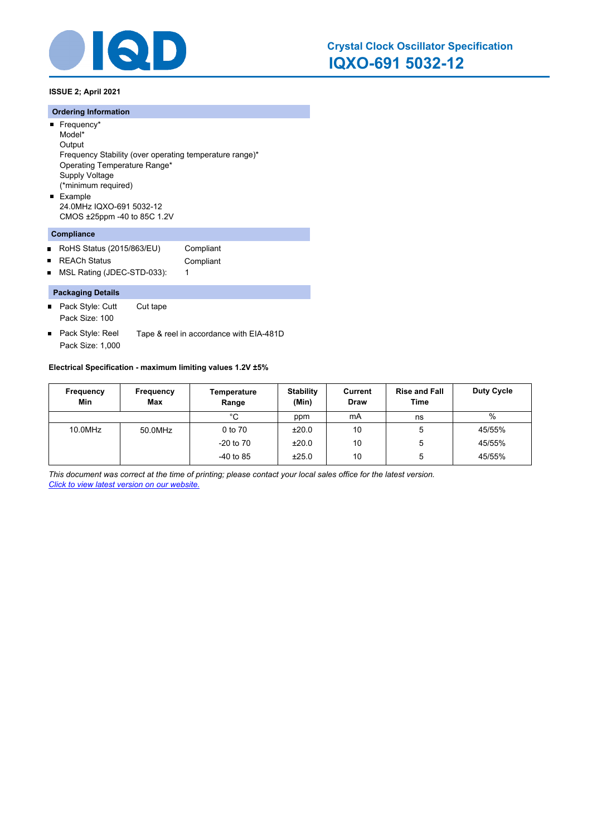

**ISSUE 2; April 2021**

### **Ordering Information**

- Frequency\* Model\* **Output**
- Frequency Stability (over operating temperature range)\* Operating Temperature Range\* Supply Voltage (\*minimum required) **Example**
- 24.0MHz IQXO-691 5032-12 CMOS ±25ppm -40 to 85C 1.2V

### **Compliance**

- $\blacksquare$ RoHS Status (2015/863/EU) Compliant
- REACh Status **Compliant**  $\blacksquare$
- MSL Rating (JDEC-STD-033): 1  $\blacksquare$

### **Packaging Details**

- Pack Style: Cutt Cut tape Pack Size: 100
- Pack Style: Reel Tape & reel in accordance with EIA-481D  $\blacksquare$ Pack Size: 1,000

### **Electrical Specification - maximum limiting values 1.2V ±5%**

| Frequency<br>Min | Frequency<br><b>Max</b> | Temperature<br>Range | <b>Stability</b><br>(Min) | Current<br><b>Draw</b> | <b>Rise and Fall</b><br>Time | <b>Duty Cycle</b> |
|------------------|-------------------------|----------------------|---------------------------|------------------------|------------------------------|-------------------|
|                  |                         | °C                   | ppm                       | mA                     | ns                           | %                 |
| 10.0MHz          | 50.0MHz                 | 0 to 70              | ±20.0                     | 10                     | 5                            | 45/55%            |
|                  |                         | $-20$ to $70$        | ±20.0                     | 10                     | 5                            | 45/55%            |
|                  |                         | $-40$ to 85          | ±25.0                     | 10                     | 5                            | 45/55%            |

*This document was correct at the time of printing; please contact your local sales office for the latest version. Click to view latest version on our website.*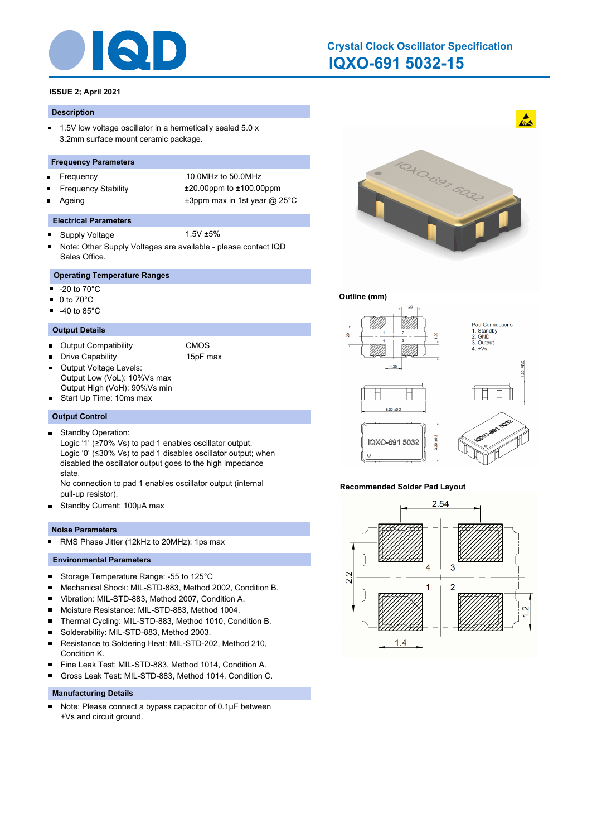

## **IQXO-691 5032-15 Crystal Clock Oscillator Specification**

### **ISSUE 2; April 2021**

#### **Description**

 $\blacksquare$ 1.5V low voltage oscillator in a hermetically sealed 5.0 x 3.2mm surface mount ceramic package.

#### **Frequency Parameters**

- $\blacksquare$
- 
- 

Frequency 10.0MHz to 50.0MHz Frequency Stability ±20.00ppm to ±100.00ppm Ageing  $\qquad \qquad \pm 3$ ppm max in 1st year @ 25°C

#### **Electrical Parameters**

- Supply Voltage 1.5V ±5%  $\blacksquare$
- Note: Other Supply Voltages are available please contact IQD Sales Office.

### **Operating Temperature Ranges**

- $\blacksquare$ -20 to 70°C
- $\blacksquare$  0 to 70 $^{\circ}$ C
- $-40$  to 85 $^{\circ}$ C

### **Output Details**

- Output Compatibility CMOS
	- Drive Capability 15pF max
- Output Voltage Levels:  $\blacksquare$ Output Low (VoL): 10%Vs max Output High (VoH): 90%Vs min
- Start Up Time: 10ms max

#### **Output Control**

Standby Operation:  $\blacksquare$ 

Logic '1' (≥70% Vs) to pad 1 enables oscillator output. Logic '0' (≤30% Vs) to pad 1 disables oscillator output; when disabled the oscillator output goes to the high impedance state.

No connection to pad 1 enables oscillator output (internal pull-up resistor).

 $\blacksquare$ Standby Current: 100μA max

### **Noise Parameters**

RMS Phase Jitter (12kHz to 20MHz): 1ps max  $\blacksquare$ 

### **Environmental Parameters**

- $\blacksquare$ Storage Temperature Range: -55 to 125°C
- Mechanical Shock: MIL-STD-883, Method 2002, Condition B. ×
- Vibration: MIL-STD-883, Method 2007, Condition A. ×
- $\blacksquare$ Moisture Resistance: MIL-STD-883, Method 1004.
- $\blacksquare$ Thermal Cycling: MIL-STD-883, Method 1010, Condition B.
- $\blacksquare$ Solderability: MIL-STD-883, Method 2003.
- $\blacksquare$ Resistance to Soldering Heat: MIL-STD-202, Method 210, Condition K.
- Fine Leak Test: MIL-STD-883, Method 1014, Condition A.  $\blacksquare$
- Gross Leak Test: MIL-STD-883, Method 1014, Condition C. n

### **Manufacturing Details**

Note: Please connect a bypass capacitor of 0.1μF between  $\blacksquare$ +Vs and circuit ground.



### **Outline (mm)**



#### **Recommended Solder Pad Layout**